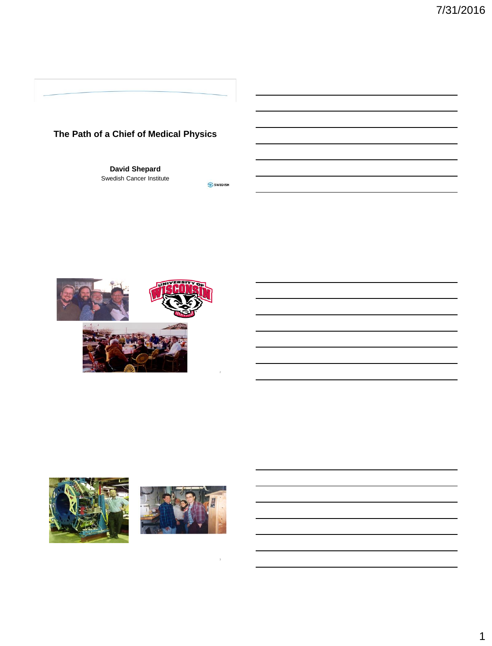## **The Path of a Chief of Medical Physics**

**David Shepard** Swedish Cancer Institute





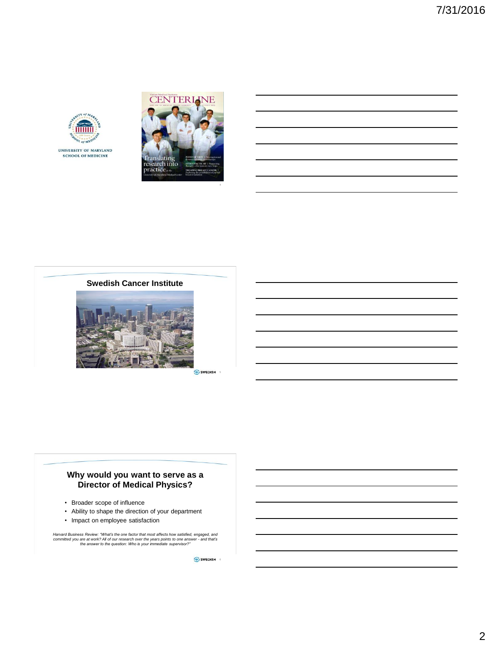







SWEDISH

#### **Why would you want to serve as a Director of Medical Physics?**

- Broader scope of influence
- Ability to shape the direction of your department
- Impact on employee satisfaction

Harvard Business Review: "What's the one factor that most affects how satisfied, engaged, and<br>committed you are at work? All of our research over the years points to one answer - and that's<br>the answer to the question: Who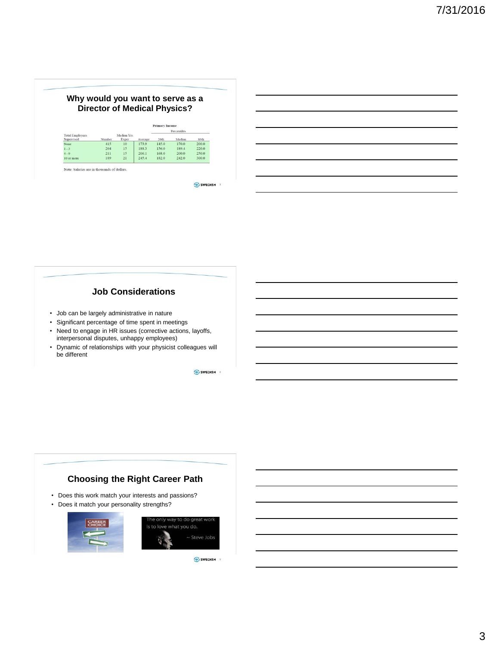

## **Job Considerations**

- Job can be largely administrative in nature
- Significant percentage of time spent in meetings
- Need to engage in HR issues (corrective actions, layoffs, interpersonal disputes, unhappy employees)
- Dynamic of relationships with your physicist colleagues will be different

SWEDISH 8

# **Choosing the Right Career Path**

- Does this work match your interests and passions?
- Does it match your personality strengths?



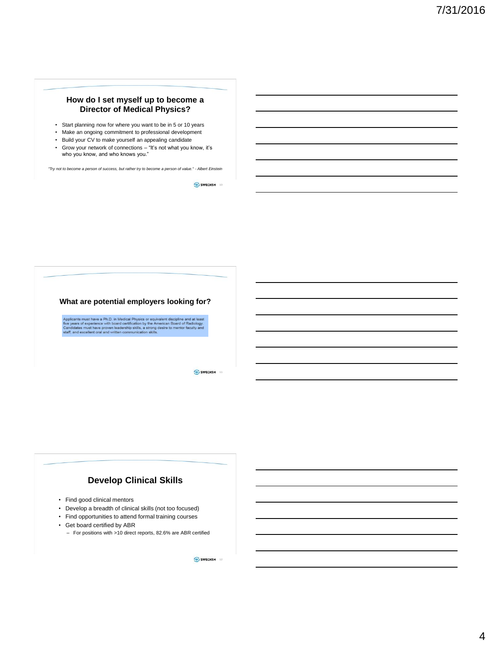#### **How do I set myself up to become a Director of Medical Physics?**

- Start planning now for where you want to be in 5 or 10 years
- Make an ongoing commitment to professional development
- Build your CV to make yourself an appealing candidate
- Grow your network of connections "It's not what you know, it's who you know, and who knows you."

*"Try not to become a person of success, but rather try to become a person of value." - Albert Einstein*

SWEDISH<sub>10</sub>



SWEDISH 11

## **Develop Clinical Skills**

- Find good clinical mentors
- Develop a breadth of clinical skills (not too focused)
- Find opportunities to attend formal training courses
- Get board certified by ABR
	- For positions with >10 direct reports, 82.6% are ABR certified

SWEDISH<sub>12</sub>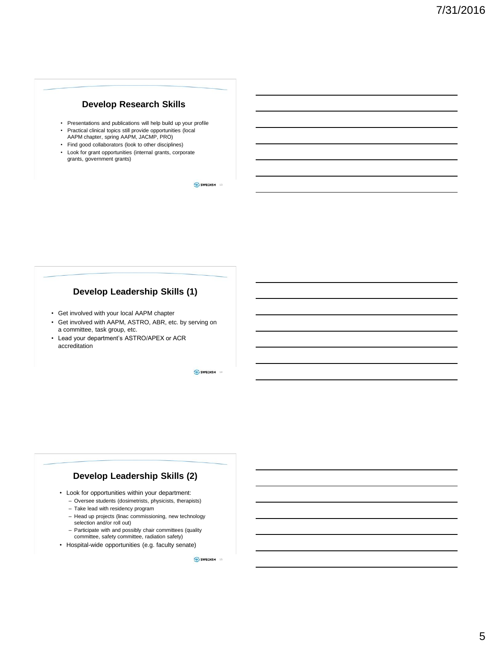### **Develop Research Skills**

- Presentations and publications will help build up your profile
- Practical clinical topics still provide opportunities (local AAPM chapter, spring AAPM, JACMP, PRO)
- Find good collaborators (look to other disciplines)
- Look for grant opportunities (internal grants, corporate grants, government grants)

SWEDISH<sub>13</sub>

## **Develop Leadership Skills (1)**

- Get involved with your local AAPM chapter
- Get involved with AAPM, ASTRO, ABR, etc. by serving on a committee, task group, etc.
- Lead your department's ASTRO/APEX or ACR accreditation

SWEDISH 14

## **Develop Leadership Skills (2)**

- Look for opportunities within your department:
	- Oversee students (dosimetrists, physicists, therapists)
	- Take lead with residency program
	- Head up projects (linac commissioning, new technology selection and/or roll out)
	- Participate with and possibly chair committees (quality committee, safety committee, radiation safety)
- Hospital-wide opportunities (e.g. faculty senate)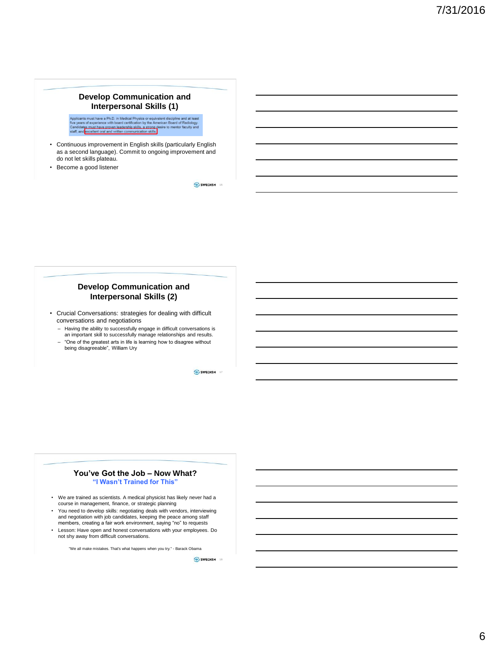#### **Develop Communication and Interpersonal Skills (1)**

cants must have a Ph.D. in Medical Physics or equ<br>ears of experience with board certification by the A .<br>Jivalent discipline and at lear<br>American Board of Radiology adiology.<br>culty <mark>a</mark>nd

- Continuous improvement in English skills (particularly English as a second language). Commit to ongoing improvement and do not let skills plateau.
- Become a good listener

SWEDISH 16

#### **Develop Communication and Interpersonal Skills (2)**

- Crucial Conversations: strategies for dealing with difficult conversations and negotiations
	- Having the ability to successfully engage in difficult conversations is an important skill to successfully manage relationships and results.
	- "One of the greatest arts in life is learning how to disagree without being disagreeable", William Ury

SWEDISH 17

#### **You've Got the Job – Now What? "I Wasn't Trained for This"**

- We are trained as scientists. A medical physicist has likely never had a course in management, finance, or strategic planning
- You need to develop skills: negotiating deals with vendors, interviewing and negotiation with job candidates, keeping the peace among staff members, creating a fair work environment, saying "no" to requests
- Lesson: Have open and honest conversations with your employees. Do not shy away from difficult conversations.

"We all make mistakes. That's what happens when you try." - Barack Obama